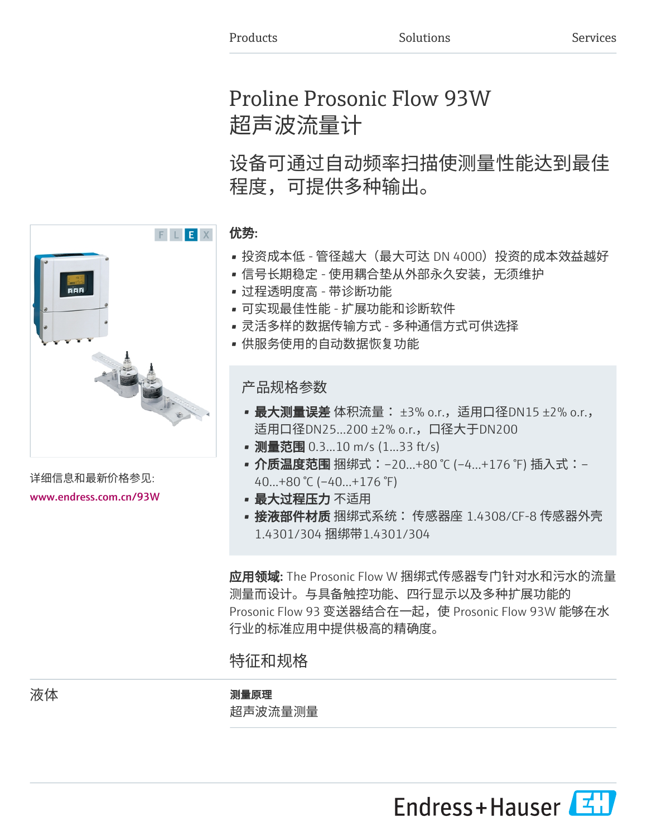# Proline Prosonic Flow 93W 超声波流量计

设备可通过自动频率扫描使测量性能达到最佳 程度,可提供多种输出。

# 优势:

- 投资成本低 管径越大(最大可达 DN 4000)投资的成本效益越好
- 信号长期稳定 使用耦合垫从外部永久安装,无须维护
- 过程透明度高 带诊断功能
- 可实现最佳性能 扩展功能和诊断软件
- 灵活多样的数据传输方式 多种通信方式可供选择
- 供服务使用的自动数据恢复功能

产品规格参数

- 最大测量误差 体积流量: ±3% o.r., 适用口径DN15 ±2% o.r., 适用口径DN25...200 ±2% o.r.,口径大于DN200
- 测量范围 0.3...10 m/s (1...33 ft/s)
- 介质温度范围 捆绑式:−20…+80 ℃ (−4…+176 ℉) 插入式:− 40...+80 °C (–40...+176 °F)
- 最大过程压力 不适用
- 接液部件材质 捆绑式系统: 传感器座 1.4308/CF-8 传感器外壳 1.4301/304 捆绑带1.4301/304

应用领域: The Prosonic Flow W 捆绑式传感器专门针对水和污水的流量 测量而设计。与具备触控功能、四行显示以及多种扩展功能的 Prosonic Flow 93 变送器结合在一起,使 Prosonic Flow 93W 能够在水 行业的标准应用中提供极高的精确度。

# 特征和规格

# 液体 あいしゃ あいしゃ アンチン 測量原理 超声波流量测量

Endress+Hauser



详细信息和最新价格参见: [www.endress.com.cn/93W](https://www.endress.com.cn/93W)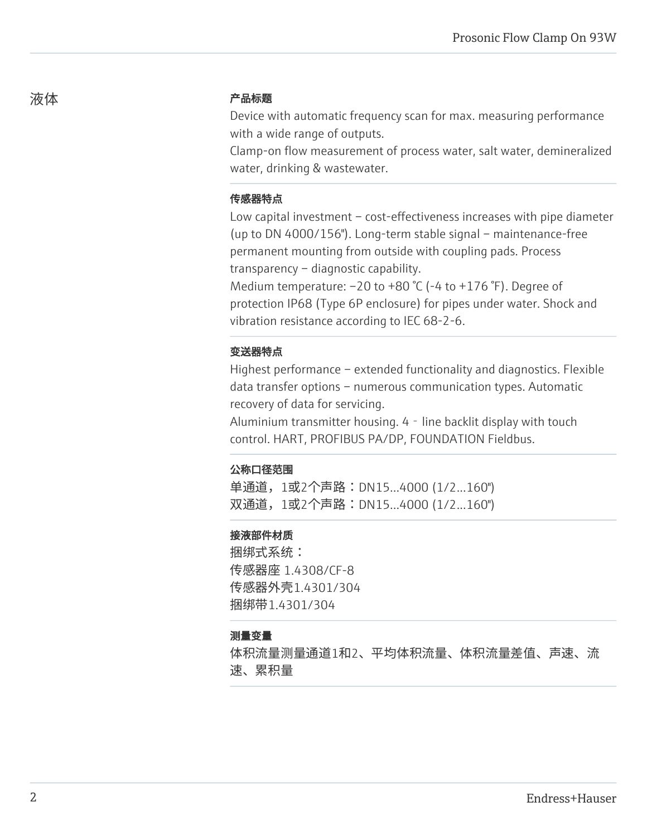# 液体 しゅうしゃ こうしゃ こうしゃ 产品标题

Device with automatic frequency scan for max. measuring performance with a wide range of outputs.

Clamp-on flow measurement of process water, salt water, demineralized water, drinking & wastewater.

# 传感器特点

Low capital investment – cost-effectiveness increases with pipe diameter (up to DN 4000/156"). Long-term stable signal – maintenance-free permanent mounting from outside with coupling pads. Process transparency – diagnostic capability.

Medium temperature: –20 to +80 °C (-4 to +176 °F). Degree of protection IP68 (Type 6P enclosure) for pipes under water. Shock and vibration resistance according to IEC 68-2-6.

# 变送器特点

Highest performance – extended functionality and diagnostics. Flexible data transfer options – numerous communication types. Automatic recovery of data for servicing.

Aluminium transmitter housing.  $4 -$  line backlit display with touch control. HART, PROFIBUS PA/DP, FOUNDATION Fieldbus.

## 公称口径范围

单通道, 1或2个声路:DN15...4000 (1/2...160") 双通道, 1或2个声路:DN15...4000 (1/2...160")

# 接液部件材质

捆绑式系统: 传感器座 1.4308/CF-8 传感器外壳1.4301/304 捆绑带1.4301/304

## 测量变量

体积流量测量通道1和2、平均体积流量、体积流量差值、声速、流 速、累积量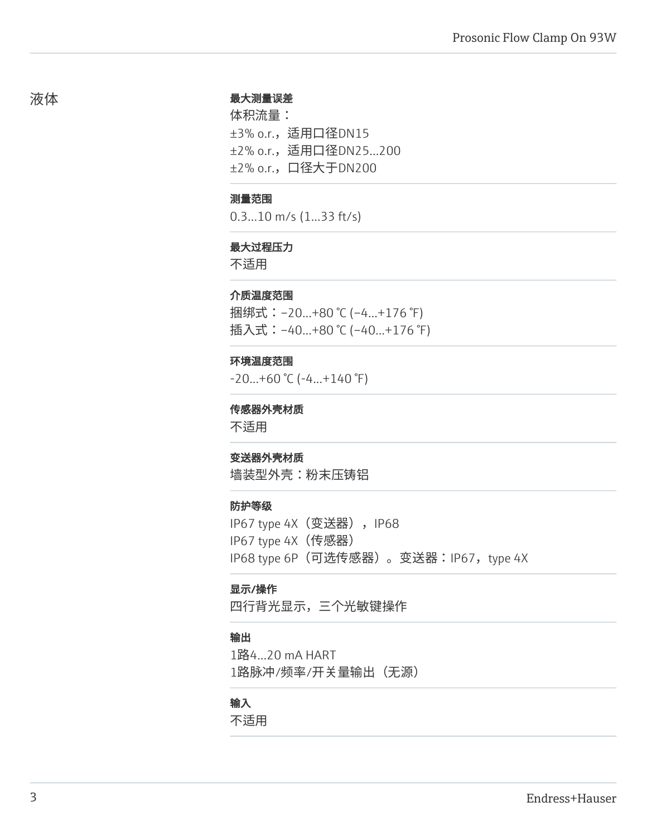#### 最大测量误差

体积流量: ±3% o.r.,适用口径DN15 ±2% o.r.,适用口径DN25...200 ±2% o.r.,口径大于DN200

#### 测量范围

0.3...10 m/s (1...33 ft/s)

#### 最大过程压力

不适用

#### 介质温度范围

捆绑式:–20...+80 °C (–4...+176 °F) 插入式: -40...+80 ℃ (-40...+176 °F)

#### 环境温度范围

-20...+60 °C (-4...+140 °F)

## 传感器外壳材质

不适用

#### 变送器外壳材质

墙装型外壳:粉末压铸铝

#### 防护等级

IP67 type 4X (变送器), IP68 IP67 type 4X(传感器) IP68 type 6P (可选传感器)。变送器:IP67, type 4X

#### 显示/操作

四行背光显示,三个光敏键操作

#### 输出

1路4...20 mA HART 1路脉冲/频率/开关量输出(无源)

# 输入

不适用